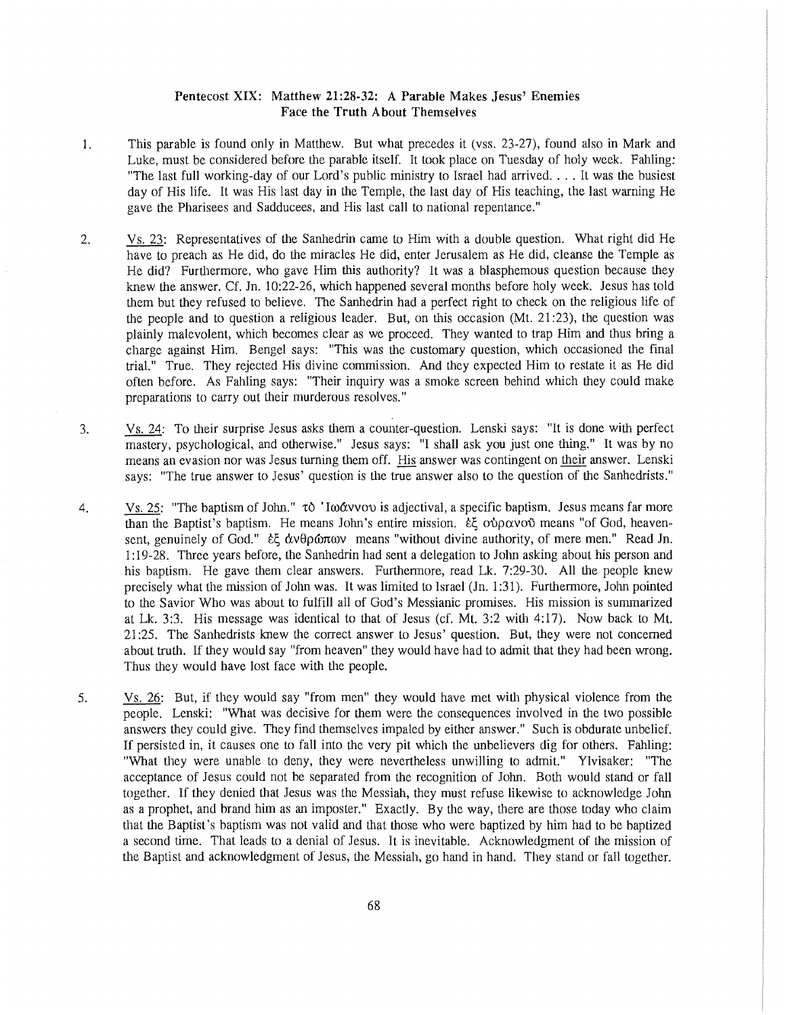## **Pentecost XIX: Matthew 21:28-32: A Parable Makes Jesus' Enemies Face the Truth About Themselves**

- 1. This parable is found only in Matthew. But what precedes it (vss. 23-27), found also in Mark and Luke, must be considered before the parable itself. It took place on Tuesday of holy week. Fahling: "The last full working-day of our Lord's public ministry to Israel had arrived,  $\ldots$  It was the busiest day of His life. It was His last day in the Temple, the last day of His teaching, the last warning He gave the Pharisees and Sadducees, and His last call to national repentance."
- 2. Vs. 23: Representatives of the Sanhedrin came to Him with a double question. What right did He have to preach as He did, do the miracles He did, enter Jerusalem as He did, cleanse the Temple as He did? Furthermore, who gave Him this authority? It was a blasphemous question because they knew the answer. Cf. Jn. 10:22-26, which happened several months before holy week. Jesus has told them but they refused to believe. The Sanhedrin had a perfect right to check on the religious life of the people and to question a religious leader. But, on this occasion  $(Mt, 21:23)$ , the question was plainly malevolent, which becomes clear as we proceed. They wanted to trap Him and thus bring a charge against Him. Bengel says: "This was the customary question, which occasioned the final trial." True. They rejected His divine commission. And they expected Him to restate it as He did often before. As Fabling says: "Their inquiry was a smoke screen behind which they could make preparations to carry out their murderous resolves."
- 3. Vs. 24: To their surprise Jesus asks them a counter-question. Lenski says: "It is done with perfect mastery, psychological, and otherwise." Jesus says: "I shall ask you just one thing." It was by no means an evasion nor was Jesus turning them off. His answer was contingent on their answer. Lenski says: "The true answer to Jesus' question is the true answer also to the question of the Sanhedrists."
- 4. Vs. 25: "The baptism of John."  $\tau$  'Iwavvov is adjectival, a specific baptism. Jesus means far more than the Baptist's baptism. He means John's entire mission. *εξ* ούρανού means "of God, heavensent, genuinely of God." *εξ άνθρώπων* means "without divine authority, of mere men." Read Jn. 1:19-28. Three years before, U1e Sanhedrin had sent a delegation to John asking about his person and his baptism. He gave them clear answers. Furthermore, read Lk. 7:29-30. All the people knew precisely what the mission of John was. It was limited to Israel (Jn. 1 :31 ). Furthermore, John pointed to the Savior Who was about to fulfill all of God's Messianic promises. His mission is summarized at Lk. 3:3. His message was identical to that of Jesus (cf. Mt. 3:2 with 4:17). Now back to Mt. 21:25. The Sanhedrists knew the correct answer to Jesus' question. But, they were not concerned about truth. If they would say "from heaven" they would have had to admit that they had been wrong. Thus they would have lost face with the people.
- 5. Vs. 26: But, if they would say "from men" they would have met with physical violence from the people. Lenski: "What was decisive for them were the consequences involved in the two possible answers they could give. They find themselves impaled by either answer." Such is obdurate unbelief. If persisted in, it causes one to fall into the very pit which the unbelievers dig for others. Fabling: "What they were unable to deny, they were nevertheless unwilling to admit." Ylvisaker: "The acceptance of Jesus could not be separated from the recognition of John. Both would stand or fall together. If they denied that Jesus was the Messiah, they must refuse likewise to acknowledge John as a prophet, and brand him as an imposter." Exactly. By the way, there are those today who claim that the Baptist's baptism was not valid and that those who were baptized by him had to be baptized a second time. That leads to a denial of Jesus. It is inevitable. Acknowledgment of the mission of the Baptist and acknowledgment of Jesus, the Messiah, go hand in hand. They stand or fall together.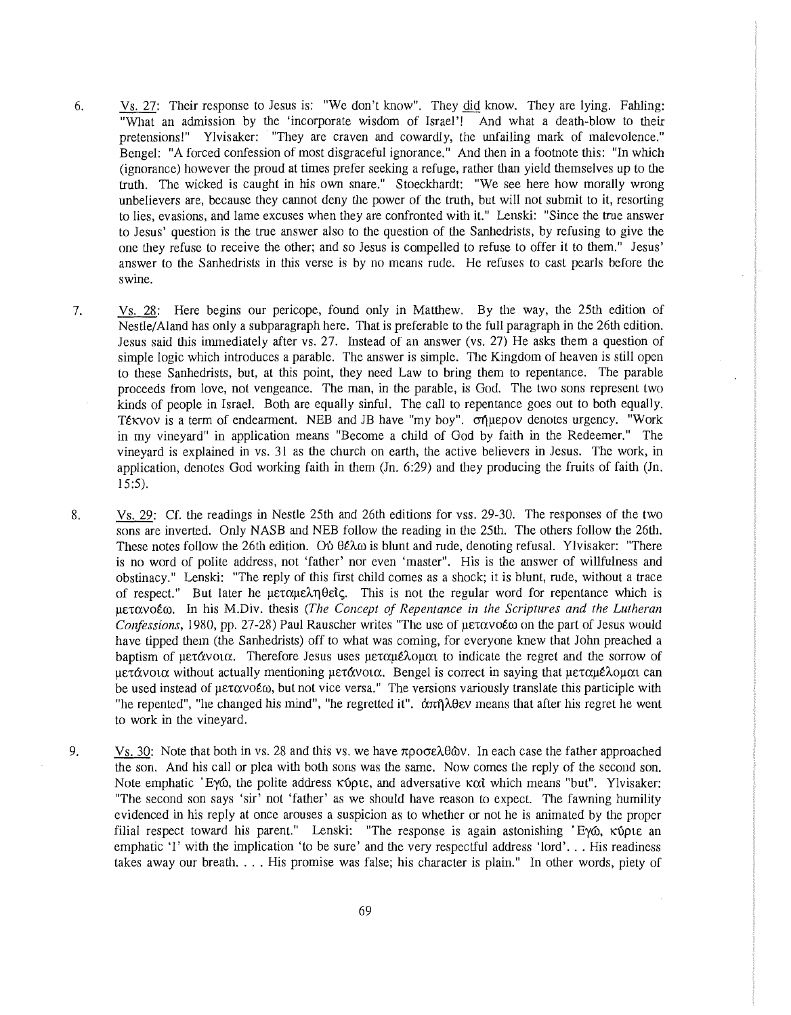- 6. Vs. 27: Their response to Jesus is: "We don't know". They did know. They are lying. Fabling: "What an admission by the 'incorporate wisdom of Israel'! And what a death-blow to their pretensions!" Ylvisaker: "They are craven and cowardly, the unfailing mark of malevolence." Bengel: "A forced confession of most disgraceful ignorance." And then in a footnote this: "In which (ignorance) however the proud at times prefer seeking a refuge, rather than yield themselves up to the truth. The wicked is caught in his own snare." Stoeckhardt: "We see here how morally wrong unbelievers are, because they cannot deny the power of the truth, but will not submit to it, resorting to lies, evasions, and lame excuses when they are confronted with it." Lenski: "Since the true answer to Jesus' question is the true answer also to the question of the Sanhedrists, by refusing to give the one they refuse to receive the other; and so Jesus is compelled to refuse to offer it to them." Jesus' answer to the Sanhedrists in this verse is by no means rude. He refuses to cast pearls before the swine.
- 7. Vs. 28: Here begins our pericope, found only in Matthew. By the way, the 25th edition of Nestle/ Aland has only a subparagraph here. That is preferable to the full paragraph in the 26th edition. Jesus said this immediately after vs. 27. Instead of an answer (vs. 27) He asks them a question of simple logic which introduces a parable. The answer is simple. The Kingdom of heaven is still open to these Sanhedrists, but, at this point, they need Law to bring them to repentance. The parable proceeds from love, not vengeance. The man, in the parable, is God. The two sons represent two kinds of people in Israel. Both are equally sinful. The call to repentance goes out to both equally. Tέκνον is a term of endearment. NEB and JB have "my boy". σήμερον denotes urgency. "Work in my vineyard" in application means "Become a child of God by faith in the Redeemer." The vineyard is explained in vs. 31 as the church on earth, the active believers in Jesus. The work, in application, denotes God working faith in them (Jn. 6:29) and they producing the fruits of faith (Jn. 15:5).
- 8. Vs. 29: Cf. the readings in Nestle 25th and 26th editions for vss. 29-30. The responses of the two sons are inverted. Only NASB and NEB follow the reading in the 25th. The others follow the 26th. These notes follow the 26th edition. Ou  $\theta \in \lambda \omega$  is blunt and rude, denoting refusal. Ylvisaker: "There is no word of polite address, not 'father' nor even 'master". His is the answer of willfulness and obstinacy." Lenski: "The reply of this first child comes as a shock; it is blunt, rude, without a trace of respect." But later he μεταμεληθείς. This is not the regular word for repentance which is µ£-rcxvotm. In his M.Div. tl1esis *(The Concept of Repentance in the Scriptures and the Lutheran Confessions, 1980, pp. 27-28) Paul Rauscher writes "The use of μετανοέω on the part of Jesus would* have tipped them (the Sanhedrists) off to what was coming, for everyone knew that John preached a baptism of  $\mu \in \mathcal{X}$  is Therefore Jesus uses  $\mu \in \mathcal{X}$  uses  $\mu \in \mathcal{X}$  and the regret and the sorrow of  $u\in\mathcal{U}$  without actually mentioning  $u\in\mathcal{U}$  bengel is correct in saying that  $u\in\mathcal{U}$ be used instead of  $\mu \in \alpha \vee \alpha \in \omega$ , but not vice versa." The versions variously translate this participle with "he repented", "he changed his mind", "he regretted it".  $\alpha \pi \hat{\eta} \lambda \theta \epsilon v$  means that after his regret he went to work in the vineyard.
- 9. Vs. 30: Note that both in vs. 28 and this vs. we have  $\pi \rho$  of  $\partial \omega$ . In each case the father approached the son. And his call or plea with both sons was the same. Now comes the reply of the second son. Note emphatic 'Ey<sub>0</sub>, the polite address  $\kappa$  6 puts, and adversative  $\kappa \alpha t$  which means "but". Ylvisaker: "The second son says 'sir' not 'father' as we should have reason to expect. The fawning humility evidenced in his reply at once arouses a suspicion as to whether or not he is animated by the proper filial respect toward his parent." Lenski: "The response is again astonishing 'Eyo, Kopte an emphatic 'I' with the implication 'to be sure' and the very respectful address 'lord' ... His readiness takes away our breath. . . . His promise was false; his character is plain." In other words, piety of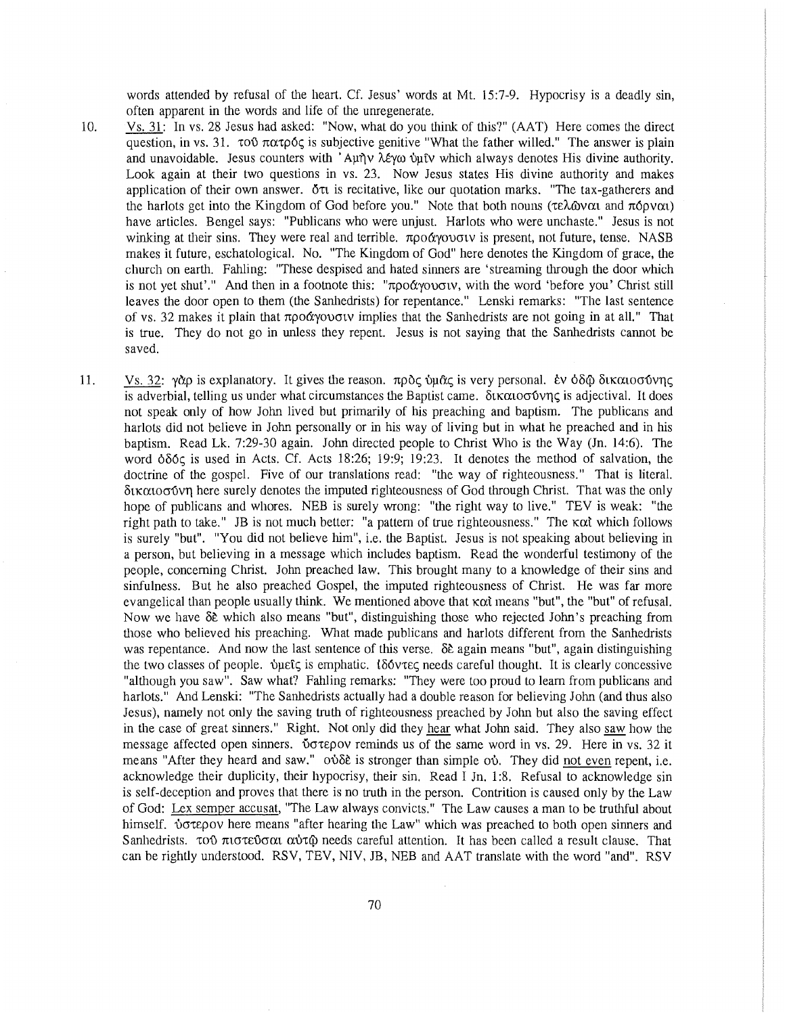words attended by refusal of the heart. Cf. Jesus' words at Mt. 15:7-9. Hypocrisy is a deadly sin, often apparent in the words and life of the unregenerate.

- 10. Vs. 31: In vs. 28 Jesus had asked: "Now, what do you think of this?" (AAT) Here comes the direct question, in vs. 31.  $\tau$   $\sigma$   $\alpha$   $\tau$  $\rho$   $\zeta$  is subjective genitive "What the father willed." The answer is plain and unavoidable. Jesus counters with 'Αμήν λέγω ύμιν which always denotes His divine authority. Look again at their two questions in vs. 23. Now Jesus states His divine authority and makes application of their own answer.  $\delta \tau t$  is recitative, like our quotation marks. "The tax-gatherers and the harlots get into the Kingdom of God before you." Note that both nouns ( $\tau \in \lambda_0$ ναι and  $\tau \circ \rho \circ \alpha$ ) have articles. Bengel says: "Publicans who were unjust. Harlots who were unchaste." Jesus is not winking at their sins. They were real and terrible,  $\pi \rho \sigma \gamma$  and  $\gamma$  is present, not future, tense. NASB makes it future, eschatological. No. "The Kingdom of God" here denotes the Kingdom of grace, the church on earth. Fabling: "These despised and hated sinners are 'streaming through the door which is not yet shut'." And then in a footnote this: "προάγουσιν, with the word 'before you' Christ still leaves the door open to them (the Sanhedrists) for repentance." Lenski remarks: "The last sentence of vs. 32 makes it plain that  $\pi \rho o \alpha y o \sigma v$  implies that the Sanhedrists are not going in at all." That is true. They do not go in unless they repent. Jesus is not saying that the Sanhedrists cannot be saved.
- 11. Vs. 32:  $\gamma \alpha \rho$  is explanatory. It gives the reason.  $\pi \rho \alpha \zeta$  bu $\alpha \zeta$  is very personal. Ev  $\delta \delta \omega$  δικαιοσύνης is adverbial, telling us under what circumstances the Baptist came.  $\delta x \alpha \omega \sigma \delta y \eta \varsigma$  is adjectival. It does not speak only of how John lived but primarily of his preaching and baptism. The publicans and harlots did not believe in John personally or in his way of living but in what he preached and in his baptism. Read Lk. 7:29-30 again. John directed people to Christ Who is the Way (Jn. 14:6). The word  $\delta\delta\zeta$  is used in Acts. Cf. Acts 18:26; 19:9; 19:23. It denotes the method of salvation, the doctrine of the gospel. Five of our translations read: "the way of righteousness." That is literal.  $δ$ ικαιοσύνη here surely denotes the imputed righteousness of God through Christ. That was the only hope of publicans and whores. NEB is surely wrong: "the right way to live." TEV is weak: "the right path to take." JB is not much better: "a pattern of true righteousness." The  $\kappa \alpha t$  which follows is surely "but". "You did not believe him", i.e. the Baptist. Jesus is not speaking about believing in a person, but believing in a message which includes baptism. Read the wonderful testimony of the people, concerning Christ. John preached law. This brought many to a knowledge of their sins and sinfulness. But he also preached Gospel, the imputed righteousness of Christ. He was far more evangelical than people usually think. We mentioned above that Kat means "but", the "but" of refusal. Now we have  $\delta \tilde{\epsilon}$  which also means "but", distinguishing those who rejected John's preaching from those who believed his preaching. What made publicans and harlots different from the Sanhedrists was repentance. And now the last sentence of this verse.  $\delta \hat{\epsilon}$  again means "but", again distinguishing the two classes of people.  $\omega_{\text{HE}}$  is emphatic.  $\delta \delta \text{vvec}$  needs careful thought. It is clearly concessive "although you saw". Saw what? Fabling remarks: "They were too proud to learn from publicans and harlots." And Lenski: "The Sanhedrists actually had a double reason for believing John (and thus also Jesus), namely not only the saving truth of righteousness preached by John but also the saving effect in the case of great sinners." Right. Not only did they hear what John said. They also saw how the message affected open sinners. Votepov reminds us of the same word in vs. 29. Here in vs. 32 it means "After they heard and saw."  $\sigma \delta \delta \epsilon$  is stronger than simple  $\sigma \delta$ . They did not even repent, i.e. acknowledge their duplicity, their hypocrisy, their sin. Read I Jn. 1:8. Refusal to acknowledge sin is self-deception and proves that there is no truth in the person. Contrition is caused only by the Law of God: Lex semper accusat, "The Law always convicts." The Law causes a man to be truthful about himself.  $\dot{\nu}$  otepov here means "after hearing the Law" which was preached to both open sinners and Sanhedrists.  $\tau$ 00  $\pi$ ιστεύσαι αύτ $\varphi$  needs careful attention. It has been called a result clause. That can be rightly understood. RSV, TEV, NIV, JB, NEB and AAT translate with the word "and". RSV